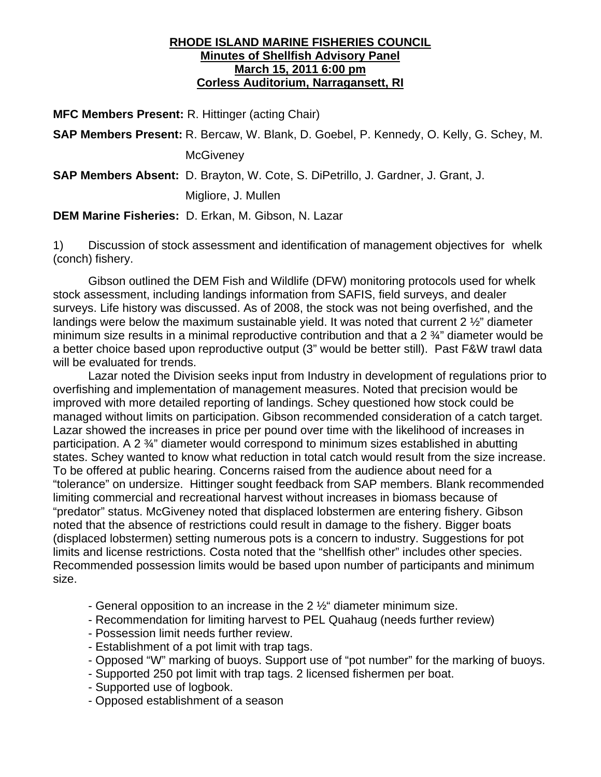## **RHODE ISLAND MARINE FISHERIES COUNCIL Minutes of Shellfish Advisory Panel March 15, 2011 6:00 pm Corless Auditorium, Narragansett, RI**

**MFC Members Present:** R. Hittinger (acting Chair)

**SAP Members Present:** R. Bercaw, W. Blank, D. Goebel, P. Kennedy, O. Kelly, G. Schey, M.

**McGiveney** 

**SAP Members Absent:** D. Brayton, W. Cote, S. DiPetrillo, J. Gardner, J. Grant, J.

Migliore, J. Mullen

**DEM Marine Fisheries:** D. Erkan, M. Gibson, N. Lazar

1) Discussion of stock assessment and identification of management objectives for whelk (conch) fishery.

Gibson outlined the DEM Fish and Wildlife (DFW) monitoring protocols used for whelk stock assessment, including landings information from SAFIS, field surveys, and dealer surveys. Life history was discussed. As of 2008, the stock was not being overfished, and the landings were below the maximum sustainable yield. It was noted that current 2 ½" diameter minimum size results in a minimal reproductive contribution and that a 2 <sup>3</sup>/<sub>4</sub>" diameter would be a better choice based upon reproductive output (3" would be better still). Past F&W trawl data will be evaluated for trends.

Lazar noted the Division seeks input from Industry in development of regulations prior to overfishing and implementation of management measures. Noted that precision would be improved with more detailed reporting of landings. Schey questioned how stock could be managed without limits on participation. Gibson recommended consideration of a catch target. Lazar showed the increases in price per pound over time with the likelihood of increases in participation. A 2 ¾" diameter would correspond to minimum sizes established in abutting states. Schey wanted to know what reduction in total catch would result from the size increase. To be offered at public hearing. Concerns raised from the audience about need for a "tolerance" on undersize. Hittinger sought feedback from SAP members. Blank recommended limiting commercial and recreational harvest without increases in biomass because of "predator" status. McGiveney noted that displaced lobstermen are entering fishery. Gibson noted that the absence of restrictions could result in damage to the fishery. Bigger boats (displaced lobstermen) setting numerous pots is a concern to industry. Suggestions for pot limits and license restrictions. Costa noted that the "shellfish other" includes other species. Recommended possession limits would be based upon number of participants and minimum size.

- General opposition to an increase in the 2 ½" diameter minimum size.

- Recommendation for limiting harvest to PEL Quahaug (needs further review)
- Possession limit needs further review.
- Establishment of a pot limit with trap tags.
- Opposed "W" marking of buoys. Support use of "pot number" for the marking of buoys.
- Supported 250 pot limit with trap tags. 2 licensed fishermen per boat.
- Supported use of logbook.
- Opposed establishment of a season